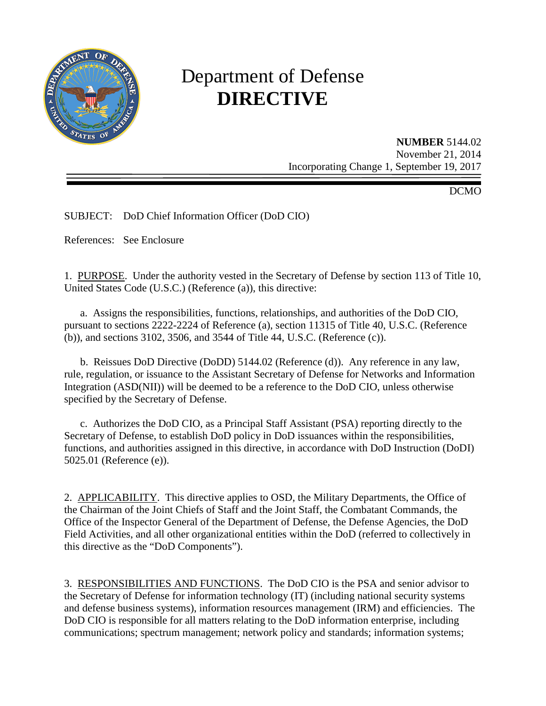

# Department of Defense **DIRECTIVE**

**NUMBER** 5144.02 November 21, 2014 Incorporating Change 1, September 19, 2017

DCMO

SUBJECT: DoD Chief Information Officer (DoD CIO)

References: See Enclosure

1. PURPOSE. Under the authority vested in the Secretary of Defense by section 113 of Title 10, United States Code (U.S.C.) (Reference (a)), this directive:

 a. Assigns the responsibilities, functions, relationships, and authorities of the DoD CIO, pursuant to sections 2222-2224 of Reference (a), section 11315 of Title 40, U.S.C. (Reference (b)), and sections 3102, 3506, and 3544 of Title 44, U.S.C. (Reference (c)).

 b. Reissues DoD Directive (DoDD) 5144.02 (Reference (d)). Any reference in any law, rule, regulation, or issuance to the Assistant Secretary of Defense for Networks and Information Integration (ASD(NII)) will be deemed to be a reference to the DoD CIO, unless otherwise specified by the Secretary of Defense.

 c. Authorizes the DoD CIO, as a Principal Staff Assistant (PSA) reporting directly to the Secretary of Defense, to establish DoD policy in DoD issuances within the responsibilities, functions, and authorities assigned in this directive, in accordance with DoD Instruction (DoDI) 5025.01 (Reference (e)).

2. APPLICABILITY. This directive applies to OSD, the Military Departments, the Office of the Chairman of the Joint Chiefs of Staff and the Joint Staff, the Combatant Commands, the Office of the Inspector General of the Department of Defense, the Defense Agencies, the DoD Field Activities, and all other organizational entities within the DoD (referred to collectively in this directive as the "DoD Components").

3. RESPONSIBILITIES AND FUNCTIONS. The DoD CIO is the PSA and senior advisor to the Secretary of Defense for information technology (IT) (including national security systems and defense business systems), information resources management (IRM) and efficiencies. The DoD CIO is responsible for all matters relating to the DoD information enterprise, including communications; spectrum management; network policy and standards; information systems;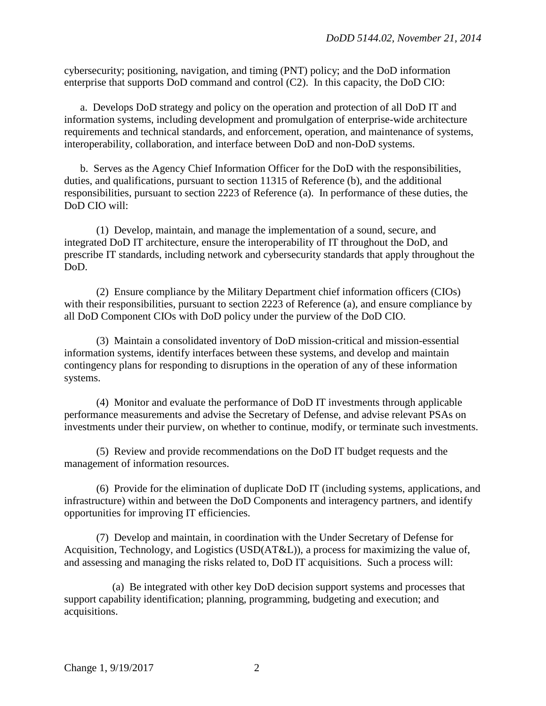cybersecurity; positioning, navigation, and timing (PNT) policy; and the DoD information enterprise that supports DoD command and control (C2). In this capacity, the DoD CIO:

 a. Develops DoD strategy and policy on the operation and protection of all DoD IT and information systems, including development and promulgation of enterprise-wide architecture requirements and technical standards, and enforcement, operation, and maintenance of systems, interoperability, collaboration, and interface between DoD and non-DoD systems.

 b. Serves as the Agency Chief Information Officer for the DoD with the responsibilities, duties, and qualifications, pursuant to section 11315 of Reference (b), and the additional responsibilities, pursuant to section 2223 of Reference (a). In performance of these duties, the DoD CIO will:

 (1) Develop, maintain, and manage the implementation of a sound, secure, and integrated DoD IT architecture, ensure the interoperability of IT throughout the DoD, and prescribe IT standards, including network and cybersecurity standards that apply throughout the DoD.

 (2) Ensure compliance by the Military Department chief information officers (CIOs) with their responsibilities, pursuant to section 2223 of Reference (a), and ensure compliance by all DoD Component CIOs with DoD policy under the purview of the DoD CIO.

 (3) Maintain a consolidated inventory of DoD mission-critical and mission-essential information systems, identify interfaces between these systems, and develop and maintain contingency plans for responding to disruptions in the operation of any of these information systems.

 (4) Monitor and evaluate the performance of DoD IT investments through applicable performance measurements and advise the Secretary of Defense, and advise relevant PSAs on investments under their purview, on whether to continue, modify, or terminate such investments.

 (5) Review and provide recommendations on the DoD IT budget requests and the management of information resources.

 (6) Provide for the elimination of duplicate DoD IT (including systems, applications, and infrastructure) within and between the DoD Components and interagency partners, and identify opportunities for improving IT efficiencies.

 (7) Develop and maintain, in coordination with the Under Secretary of Defense for Acquisition, Technology, and Logistics (USD(AT&L)), a process for maximizing the value of, and assessing and managing the risks related to, DoD IT acquisitions. Such a process will:

 (a) Be integrated with other key DoD decision support systems and processes that support capability identification; planning, programming, budgeting and execution; and acquisitions.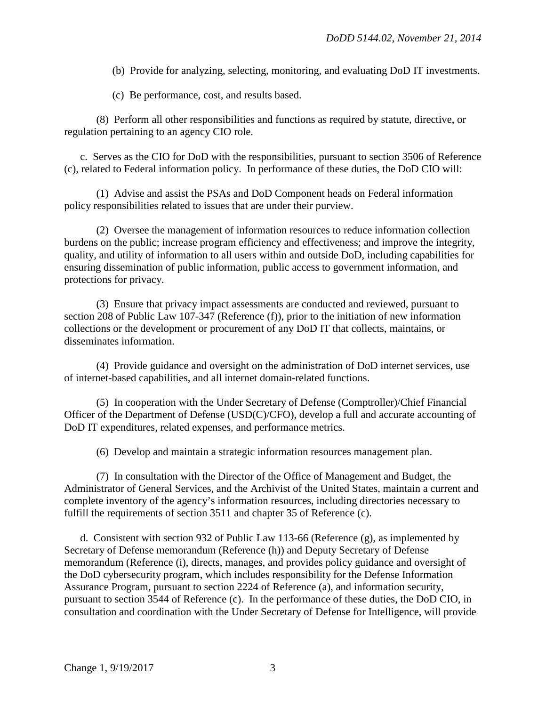(b) Provide for analyzing, selecting, monitoring, and evaluating DoD IT investments.

(c) Be performance, cost, and results based.

 (8) Perform all other responsibilities and functions as required by statute, directive, or regulation pertaining to an agency CIO role.

 c. Serves as the CIO for DoD with the responsibilities, pursuant to section 3506 of Reference (c), related to Federal information policy. In performance of these duties, the DoD CIO will:

 (1) Advise and assist the PSAs and DoD Component heads on Federal information policy responsibilities related to issues that are under their purview.

 (2) Oversee the management of information resources to reduce information collection burdens on the public; increase program efficiency and effectiveness; and improve the integrity, quality, and utility of information to all users within and outside DoD, including capabilities for ensuring dissemination of public information, public access to government information, and protections for privacy.

 (3) Ensure that privacy impact assessments are conducted and reviewed, pursuant to section 208 of Public Law 107-347 (Reference (f)), prior to the initiation of new information collections or the development or procurement of any DoD IT that collects, maintains, or disseminates information.

 (4) Provide guidance and oversight on the administration of DoD internet services, use of internet-based capabilities, and all internet domain-related functions.

 (5) In cooperation with the Under Secretary of Defense (Comptroller)/Chief Financial Officer of the Department of Defense (USD(C)/CFO), develop a full and accurate accounting of DoD IT expenditures, related expenses, and performance metrics.

(6) Develop and maintain a strategic information resources management plan.

 (7) In consultation with the Director of the Office of Management and Budget, the Administrator of General Services, and the Archivist of the United States, maintain a current and complete inventory of the agency's information resources, including directories necessary to fulfill the requirements of section 3511 and chapter 35 of Reference (c).

 d. Consistent with section 932 of Public Law 113-66 (Reference (g), as implemented by Secretary of Defense memorandum (Reference (h)) and Deputy Secretary of Defense memorandum (Reference (i), directs, manages, and provides policy guidance and oversight of the DoD cybersecurity program, which includes responsibility for the Defense Information Assurance Program, pursuant to section 2224 of Reference (a), and information security, pursuant to section 3544 of Reference (c). In the performance of these duties, the DoD CIO, in consultation and coordination with the Under Secretary of Defense for Intelligence, will provide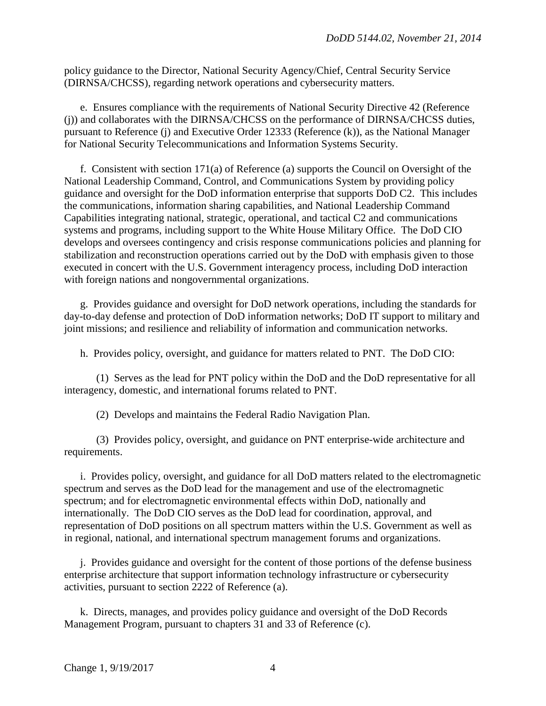policy guidance to the Director, National Security Agency/Chief, Central Security Service (DIRNSA/CHCSS), regarding network operations and cybersecurity matters.

 e. Ensures compliance with the requirements of National Security Directive 42 (Reference (j)) and collaborates with the DIRNSA/CHCSS on the performance of DIRNSA/CHCSS duties, pursuant to Reference (j) and Executive Order 12333 (Reference (k)), as the National Manager for National Security Telecommunications and Information Systems Security.

 f. Consistent with section 171(a) of Reference (a) supports the Council on Oversight of the National Leadership Command, Control, and Communications System by providing policy guidance and oversight for the DoD information enterprise that supports DoD C2. This includes the communications, information sharing capabilities, and National Leadership Command Capabilities integrating national, strategic, operational, and tactical C2 and communications systems and programs, including support to the White House Military Office. The DoD CIO develops and oversees contingency and crisis response communications policies and planning for stabilization and reconstruction operations carried out by the DoD with emphasis given to those executed in concert with the U.S. Government interagency process, including DoD interaction with foreign nations and nongovernmental organizations.

 g. Provides guidance and oversight for DoD network operations, including the standards for day-to-day defense and protection of DoD information networks; DoD IT support to military and joint missions; and resilience and reliability of information and communication networks.

h. Provides policy, oversight, and guidance for matters related to PNT. The DoD CIO:

 (1) Serves as the lead for PNT policy within the DoD and the DoD representative for all interagency, domestic, and international forums related to PNT.

(2) Develops and maintains the Federal Radio Navigation Plan.

 (3) Provides policy, oversight, and guidance on PNT enterprise-wide architecture and requirements.

 i. Provides policy, oversight, and guidance for all DoD matters related to the electromagnetic spectrum and serves as the DoD lead for the management and use of the electromagnetic spectrum; and for electromagnetic environmental effects within DoD, nationally and internationally. The DoD CIO serves as the DoD lead for coordination, approval, and representation of DoD positions on all spectrum matters within the U.S. Government as well as in regional, national, and international spectrum management forums and organizations.

 j. Provides guidance and oversight for the content of those portions of the defense business enterprise architecture that support information technology infrastructure or cybersecurity activities, pursuant to section 2222 of Reference (a).

k. Directs, manages, and provides policy guidance and oversight of the DoD Records Management Program, pursuant to chapters 31 and 33 of Reference (c).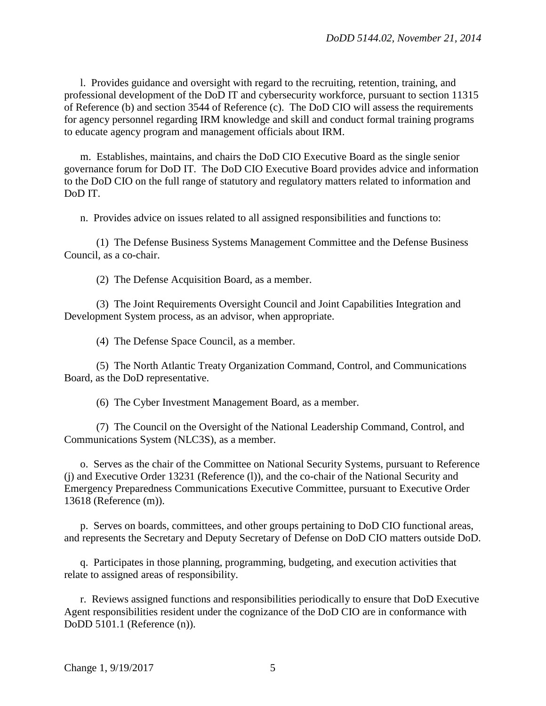l. Provides guidance and oversight with regard to the recruiting, retention, training, and professional development of the DoD IT and cybersecurity workforce, pursuant to section 11315 of Reference (b) and section 3544 of Reference (c). The DoD CIO will assess the requirements for agency personnel regarding IRM knowledge and skill and conduct formal training programs to educate agency program and management officials about IRM.

 m. Establishes, maintains, and chairs the DoD CIO Executive Board as the single senior governance forum for DoD IT. The DoD CIO Executive Board provides advice and information to the DoD CIO on the full range of statutory and regulatory matters related to information and DoD IT.

n. Provides advice on issues related to all assigned responsibilities and functions to:

 (1) The Defense Business Systems Management Committee and the Defense Business Council, as a co-chair.

(2) The Defense Acquisition Board, as a member.

 (3) The Joint Requirements Oversight Council and Joint Capabilities Integration and Development System process, as an advisor, when appropriate.

(4) The Defense Space Council, as a member.

 (5) The North Atlantic Treaty Organization Command, Control, and Communications Board, as the DoD representative.

(6) The Cyber Investment Management Board, as a member.

 (7) The Council on the Oversight of the National Leadership Command, Control, and Communications System (NLC3S), as a member.

 o. Serves as the chair of the Committee on National Security Systems, pursuant to Reference (j) and Executive Order 13231 (Reference (l)), and the co-chair of the National Security and Emergency Preparedness Communications Executive Committee, pursuant to Executive Order 13618 (Reference (m)).

 p. Serves on boards, committees, and other groups pertaining to DoD CIO functional areas, and represents the Secretary and Deputy Secretary of Defense on DoD CIO matters outside DoD.

 q. Participates in those planning, programming, budgeting, and execution activities that relate to assigned areas of responsibility.

 r. Reviews assigned functions and responsibilities periodically to ensure that DoD Executive Agent responsibilities resident under the cognizance of the DoD CIO are in conformance with DoDD 5101.1 (Reference (n)).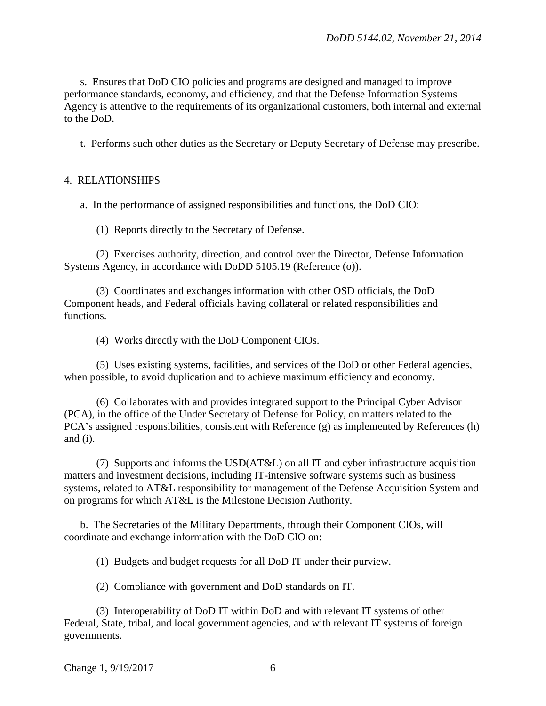s. Ensures that DoD CIO policies and programs are designed and managed to improve performance standards, economy, and efficiency, and that the Defense Information Systems Agency is attentive to the requirements of its organizational customers, both internal and external to the DoD.

t. Performs such other duties as the Secretary or Deputy Secretary of Defense may prescribe.

## 4. RELATIONSHIPS

a. In the performance of assigned responsibilities and functions, the DoD CIO:

(1) Reports directly to the Secretary of Defense.

 (2) Exercises authority, direction, and control over the Director, Defense Information Systems Agency, in accordance with DoDD 5105.19 (Reference (o)).

(3) Coordinates and exchanges information with other OSD officials, the DoD Component heads, and Federal officials having collateral or related responsibilities and functions.

(4) Works directly with the DoD Component CIOs.

 (5) Uses existing systems, facilities, and services of the DoD or other Federal agencies, when possible, to avoid duplication and to achieve maximum efficiency and economy.

 (6) Collaborates with and provides integrated support to the Principal Cyber Advisor (PCA), in the office of the Under Secretary of Defense for Policy, on matters related to the PCA's assigned responsibilities, consistent with Reference (g) as implemented by References (h) and (i).

 (7) Supports and informs the USD(AT&L) on all IT and cyber infrastructure acquisition matters and investment decisions, including IT-intensive software systems such as business systems, related to AT&L responsibility for management of the Defense Acquisition System and on programs for which AT&L is the Milestone Decision Authority.

 b. The Secretaries of the Military Departments, through their Component CIOs, will coordinate and exchange information with the DoD CIO on:

(1) Budgets and budget requests for all DoD IT under their purview.

(2) Compliance with government and DoD standards on IT.

 (3) Interoperability of DoD IT within DoD and with relevant IT systems of other Federal, State, tribal, and local government agencies, and with relevant IT systems of foreign governments.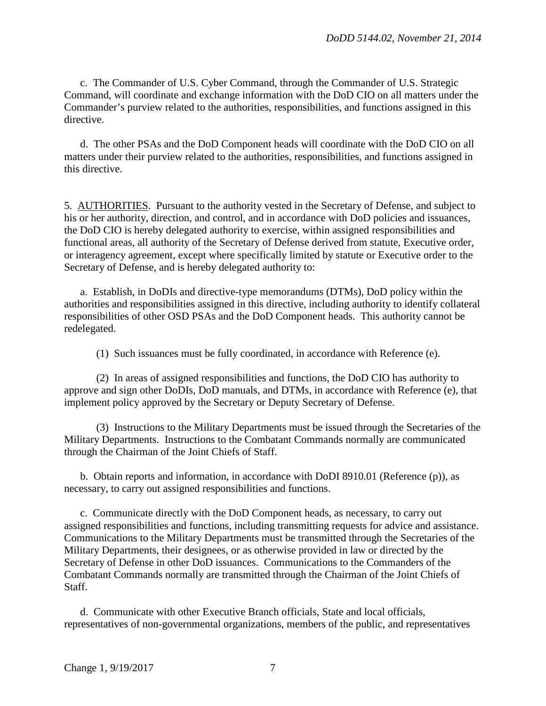c. The Commander of U.S. Cyber Command, through the Commander of U.S. Strategic Command, will coordinate and exchange information with the DoD CIO on all matters under the Commander's purview related to the authorities, responsibilities, and functions assigned in this directive.

 d. The other PSAs and the DoD Component heads will coordinate with the DoD CIO on all matters under their purview related to the authorities, responsibilities, and functions assigned in this directive.

5. AUTHORITIES. Pursuant to the authority vested in the Secretary of Defense, and subject to his or her authority, direction, and control, and in accordance with DoD policies and issuances, the DoD CIO is hereby delegated authority to exercise, within assigned responsibilities and functional areas, all authority of the Secretary of Defense derived from statute, Executive order, or interagency agreement, except where specifically limited by statute or Executive order to the Secretary of Defense, and is hereby delegated authority to:

 a. Establish, in DoDIs and directive-type memorandums (DTMs), DoD policy within the authorities and responsibilities assigned in this directive, including authority to identify collateral responsibilities of other OSD PSAs and the DoD Component heads. This authority cannot be redelegated.

(1) Such issuances must be fully coordinated, in accordance with Reference (e).

 (2) In areas of assigned responsibilities and functions, the DoD CIO has authority to approve and sign other DoDIs, DoD manuals, and DTMs, in accordance with Reference (e), that implement policy approved by the Secretary or Deputy Secretary of Defense.

 (3) Instructions to the Military Departments must be issued through the Secretaries of the Military Departments. Instructions to the Combatant Commands normally are communicated through the Chairman of the Joint Chiefs of Staff.

 b. Obtain reports and information, in accordance with DoDI 8910.01 (Reference (p)), as necessary, to carry out assigned responsibilities and functions.

 c. Communicate directly with the DoD Component heads, as necessary, to carry out assigned responsibilities and functions, including transmitting requests for advice and assistance. Communications to the Military Departments must be transmitted through the Secretaries of the Military Departments, their designees, or as otherwise provided in law or directed by the Secretary of Defense in other DoD issuances. Communications to the Commanders of the Combatant Commands normally are transmitted through the Chairman of the Joint Chiefs of Staff.

 d. Communicate with other Executive Branch officials, State and local officials, representatives of non-governmental organizations, members of the public, and representatives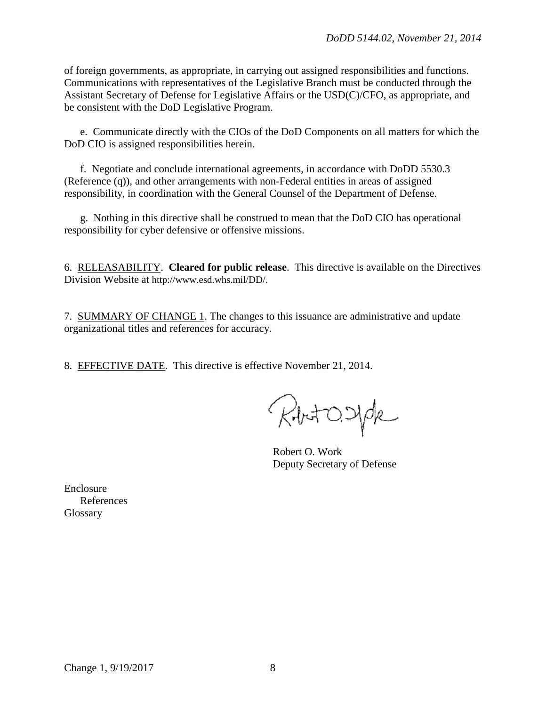of foreign governments, as appropriate, in carrying out assigned responsibilities and functions. Communications with representatives of the Legislative Branch must be conducted through the Assistant Secretary of Defense for Legislative Affairs or the USD(C)/CFO, as appropriate, and be consistent with the DoD Legislative Program.

e. Communicate directly with the CIOs of the DoD Components on all matters for which the DoD CIO is assigned responsibilities herein.

f. Negotiate and conclude international agreements, in accordance with DoDD 5530.3 (Reference (q)), and other arrangements with non-Federal entities in areas of assigned responsibility, in coordination with the General Counsel of the Department of Defense.

g. Nothing in this directive shall be construed to mean that the DoD CIO has operational responsibility for cyber defensive or offensive missions.

6. RELEASABILITY. **Cleared for public release**. This directive is available on the Directives Division Website at [http://www.esd.whs.mil/DD/.](http://www.esd.whs.mil/DD/)

7. SUMMARY OF CHANGE 1. The changes to this issuance are administrative and update organizational titles and references for accuracy.

8. EFFECTIVE DATE. This directive is effective November 21, 2014.

RhotOsyde

Robert O. Work Deputy Secretary of Defense

Enclosure References Glossary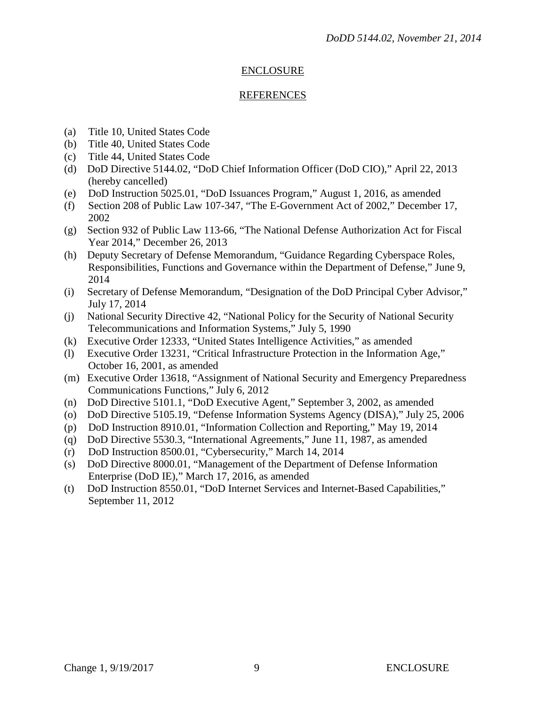### ENCLOSURE

#### REFERENCES

- (a) Title 10, United States Code
- (b) Title 40, United States Code
- (c) Title 44, United States Code
- (d) DoD Directive 5144.02, "DoD Chief Information Officer (DoD CIO)," April 22, 2013 (hereby cancelled)
- (e) DoD Instruction 5025.01, "DoD Issuances Program," August 1, 2016, as amended
- (f) Section 208 of Public Law 107-347, "The E-Government Act of 2002," December 17, 2002
- (g) Section 932 of Public Law 113-66, "The National Defense Authorization Act for Fiscal Year 2014," December 26, 2013
- (h) Deputy Secretary of Defense Memorandum, "Guidance Regarding Cyberspace Roles, Responsibilities, Functions and Governance within the Department of Defense," June 9, 2014
- (i) Secretary of Defense Memorandum, "Designation of the DoD Principal Cyber Advisor," July 17, 2014
- (j) National Security Directive 42, "National Policy for the Security of National Security Telecommunications and Information Systems," July 5, 1990
- (k) Executive Order 12333, "United States Intelligence Activities," as amended
- (l) Executive Order 13231, "Critical Infrastructure Protection in the Information Age," October 16, 2001, as amended
- (m) Executive Order 13618, "Assignment of National Security and Emergency Preparedness Communications Functions," July 6, 2012
- (n) DoD Directive 5101.1, "DoD Executive Agent," September 3, 2002, as amended
- (o) DoD Directive 5105.19, "Defense Information Systems Agency (DISA)," July 25, 2006
- (p) DoD Instruction 8910.01, "Information Collection and Reporting," May 19, 2014
- (q) DoD Directive 5530.3, "International Agreements," June 11, 1987, as amended
- (r) DoD Instruction 8500.01, "Cybersecurity," March 14, 2014
- (s) DoD Directive 8000.01, "Management of the Department of Defense Information Enterprise (DoD IE)," March 17, 2016, as amended
- (t) DoD Instruction 8550.01, "DoD Internet Services and Internet-Based Capabilities," September 11, 2012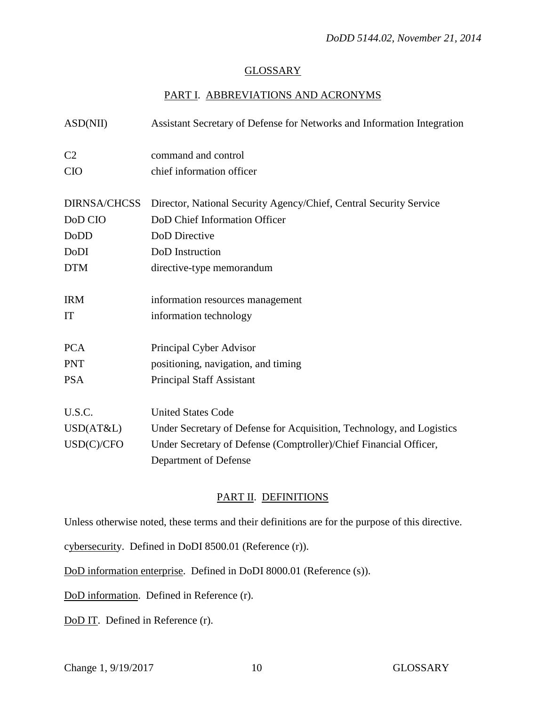#### GLOSSARY

# PART I. ABBREVIATIONS AND ACRONYMS

| ASD(NII)            | Assistant Secretary of Defense for Networks and Information Integration |
|---------------------|-------------------------------------------------------------------------|
| C <sub>2</sub>      | command and control                                                     |
| <b>CIO</b>          | chief information officer                                               |
| <b>DIRNSA/CHCSS</b> | Director, National Security Agency/Chief, Central Security Service      |
| DoD CIO             | DoD Chief Information Officer                                           |
| DoDD                | DoD Directive                                                           |
| DoDI                | DoD Instruction                                                         |
| <b>DTM</b>          | directive-type memorandum                                               |
| <b>IRM</b>          | information resources management                                        |
| <b>IT</b>           | information technology                                                  |
| <b>PCA</b>          | Principal Cyber Advisor                                                 |
| <b>PNT</b>          | positioning, navigation, and timing                                     |
| <b>PSA</b>          | <b>Principal Staff Assistant</b>                                        |
| U.S.C.              | <b>United States Code</b>                                               |
| USD(AT&L)           | Under Secretary of Defense for Acquisition, Technology, and Logistics   |
| USD(C)/CFO          | Under Secretary of Defense (Comptroller)/Chief Financial Officer,       |
|                     | Department of Defense                                                   |

# PART II. DEFINITIONS

Unless otherwise noted, these terms and their definitions are for the purpose of this directive.

cybersecurity. Defined in DoDI 8500.01 (Reference (r)).

DoD information enterprise. Defined in DoDI 8000.01 (Reference (s)).

DoD information. Defined in Reference (r).

DoD IT. Defined in Reference (r).